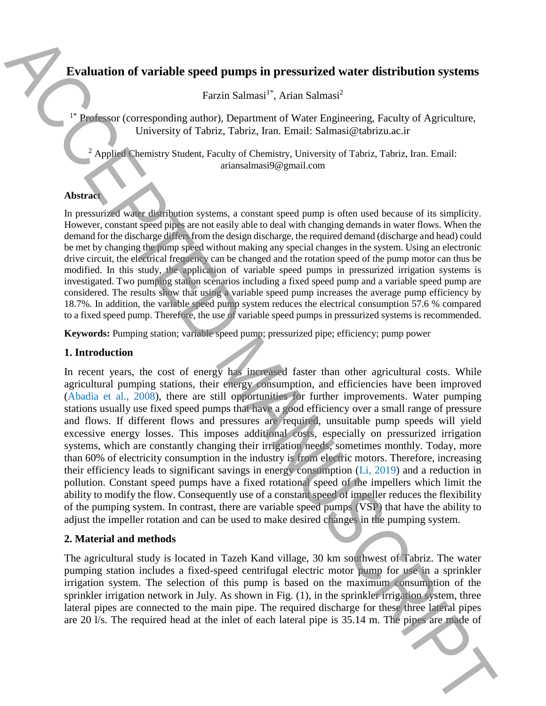# **Evaluation of variable speed pumps in pressurized water distribution systems**

Farzin Salmasi<sup>1\*</sup>, Arian Salmasi<sup>2</sup>

Professor (corresponding author), Department of Water Engineering, Faculty of Agriculture, University of Tabriz, Tabriz, Iran. Email: Salmasi@tabrizu.ac.ir

 $<sup>2</sup>$  Applied Chemistry Student, Faculty of Chemistry, University of Tabriz, Tabriz, Iran. Email:</sup> ariansalmasi9@gmail.com

#### **Abstract**

In pressurized water distribution systems, a constant speed pump is often used because of its simplicity. However, constant speed pipes are not easily able to deal with changing demands in water flows. When the demand for the discharge differs from the design discharge, the required demand (discharge and head) could be met by changing the pump speed without making any special changes in the system. Using an electronic drive circuit, the electrical frequency can be changed and the rotation speed of the pump motor can thus be modified. In this study, the application of variable speed pumps in pressurized irrigation systems is investigated. Two pumping station scenarios including a fixed speed pump and a variable speed pump are considered. The results show that using a variable speed pump increases the average pump efficiency by 18.7%. In addition, the variable speed pump system reduces the electrical consumption 57.6 % compared to a fixed speed pump. Therefore, the use of variable speed pumps in pressurized systems is recommended.

**Keywords:** Pumping station; variable speed pump; pressurized pipe; efficiency; pump power

### **1. Introduction**

In recent years, the cost of energy has increased faster than other agricultural costs. While agricultural pumping stations, their energy consumption, and efficiencies have been improved (Abadia et al., 2008), there are still opportunities for further improvements. Water pumping stations usually use fixed speed pumps that have a good efficiency over a small range of pressure and flows. If different flows and pressures are required, unsuitable pump speeds will yield excessive energy losses. This imposes additional costs, especially on pressurized irrigation systems, which are constantly changing their irrigation needs, sometimes monthly. Today, more than 60% of electricity consumption in the industry is from electric motors. Therefore, increasing their efficiency leads to significant savings in energy consumption (Li, 2019) and a reduction in pollution. Constant speed pumps have a fixed rotational speed of the impellers which limit the ability to modify the flow. Consequently use of a constant speed of impeller reduces the flexibility of the pumping system. In contrast, there are variable speed pumps (VSP) that have the ability to adjust the impeller rotation and can be used to make desired changes in the pumping system. **Evaluation of variable speed pumps in pressurized vater distribution systems**<br>
The required corresponding atthos). Department of Water Englancing Factly of Agitabitudes<br>
University of The inc. The inlet of European Corre

### **2. Material and methods**

The agricultural study is located in Tazeh Kand village, 30 km southwest of Tabriz. The water pumping station includes a fixed-speed centrifugal electric motor pump for use in a sprinkler irrigation system. The selection of this pump is based on the maximum consumption of the sprinkler irrigation network in July. As shown in Fig. (1), in the sprinkler irrigation system, three lateral pipes are connected to the main pipe. The required discharge for these three lateral pipes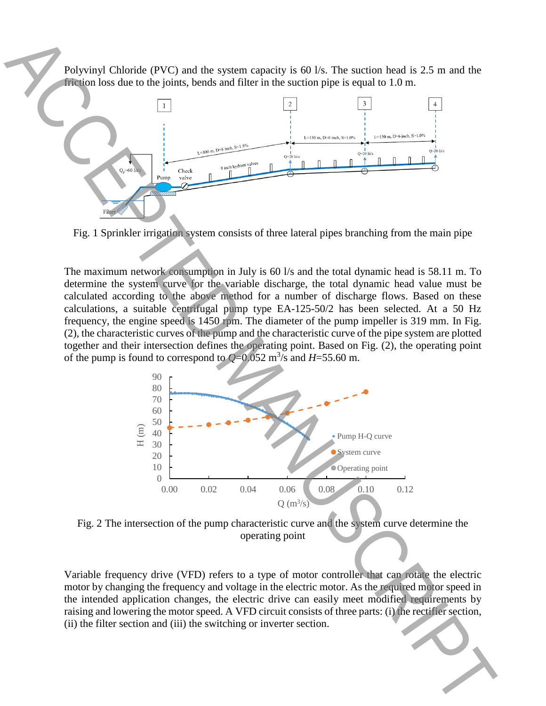Polyvinyl Chloride (PVC) and the system capacity is 60 l/s. The suction head is 2.5 m and the friction loss due to the joints, bends and filter in the suction pipe is equal to 1.0 m.



Fig. 1 Sprinkler irrigation system consists of three lateral pipes branching from the main pipe

The maximum network consumption in July is 60 l/s and the total dynamic head is 58.11 m. To determine the system curve for the variable discharge, the total dynamic head value must be calculated according to the above method for a number of discharge flows. Based on these calculations, a suitable centrifugal pump type EA-125-50/2 has been selected. At a 50 Hz frequency, the engine speed is 1450 rpm. The diameter of the pump impeller is 319 mm. In Fig. (2), the characteristic curves of the pump and the characteristic curve of the pipe system are plotted together and their intersection defines the operating point. Based on Fig. (2), the operating point of the pump is found to correspond to  $Q=0.052$  m<sup>3</sup>/s and  $H=55.60$  m.



Fig. 2 The intersection of the pump characteristic curve and the system curve determine the operating point

Variable frequency drive (VFD) refers to a type of motor controller that can rotate the electric motor by changing the frequency and voltage in the electric motor. As the required motor speed in the intended application changes, the electric drive can easily meet modified requirements by raising and lowering the motor speed. A VFD circuit consists of three parts: (i) the rectifier section, (ii) the filter section and (iii) the switching or inverter section.